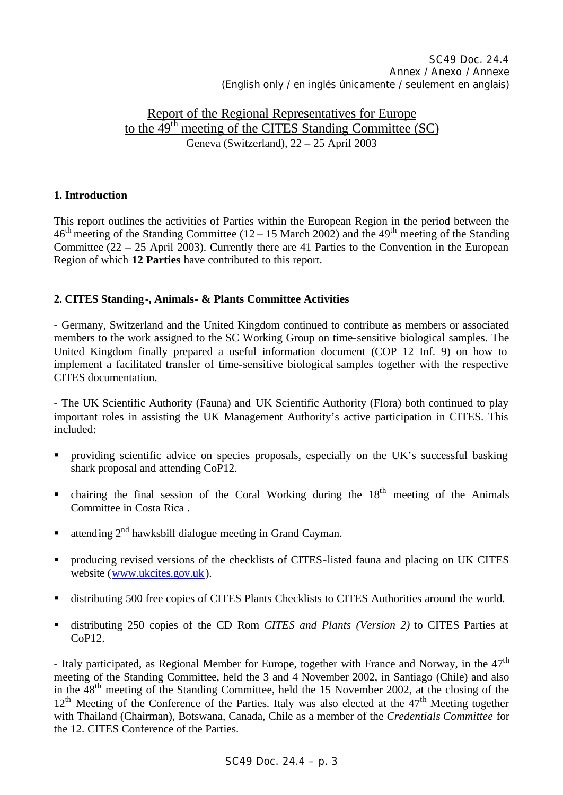# Report of the Regional Representatives for Europe to the 49th meeting of the CITES Standing Committee (SC) Geneva (Switzerland), 22 – 25 April 2003

## **1. Introduction**

This report outlines the activities of Parties within the European Region in the period between the  $46<sup>th</sup>$  meeting of the Standing Committee (12 – 15 March 2002) and the 49<sup>th</sup> meeting of the Standing Committee (22 – 25 April 2003). Currently there are 41 Parties to the Convention in the European Region of which **12 Parties** have contributed to this report.

### **2. CITES Standing-, Animals- & Plants Committee Activities**

- Germany, Switzerland and the United Kingdom continued to contribute as members or associated members to the work assigned to the SC Working Group on time-sensitive biological samples. The United Kingdom finally prepared a useful information document (COP 12 Inf. 9) on how to implement a facilitated transfer of time-sensitive biological samples together with the respective CITES documentation.

- The UK Scientific Authority (Fauna) and UK Scientific Authority (Flora) both continued to play important roles in assisting the UK Management Authority's active participation in CITES. This included:

- providing scientific advice on species proposals, especially on the UK's successful basking shark proposal and attending CoP12.
- $\blacksquare$  chairing the final session of the Coral Working during the 18<sup>th</sup> meeting of the Animals Committee in Costa Rica .
- **u** attending  $2^{nd}$  hawksbill dialogue meeting in Grand Cayman.
- producing revised versions of the checklists of CITES-listed fauna and placing on UK CITES website (www.ukcites.gov.uk).
- distributing 500 free copies of CITES Plants Checklists to CITES Authorities around the world.
- ß distributing 250 copies of the CD Rom *CITES and Plants (Version 2)* to CITES Parties at CoP12.

- Italy participated, as Regional Member for Europe, together with France and Norway, in the  $47<sup>th</sup>$ meeting of the Standing Committee, held the 3 and 4 November 2002, in Santiago (Chile) and also in the 48th meeting of the Standing Committee, held the 15 November 2002, at the closing of the  $12<sup>th</sup>$  Meeting of the Conference of the Parties. Italy was also elected at the  $47<sup>th</sup>$  Meeting together with Thailand (Chairman), Botswana, Canada, Chile as a member of the *Credentials Committee* for the 12. CITES Conference of the Parties.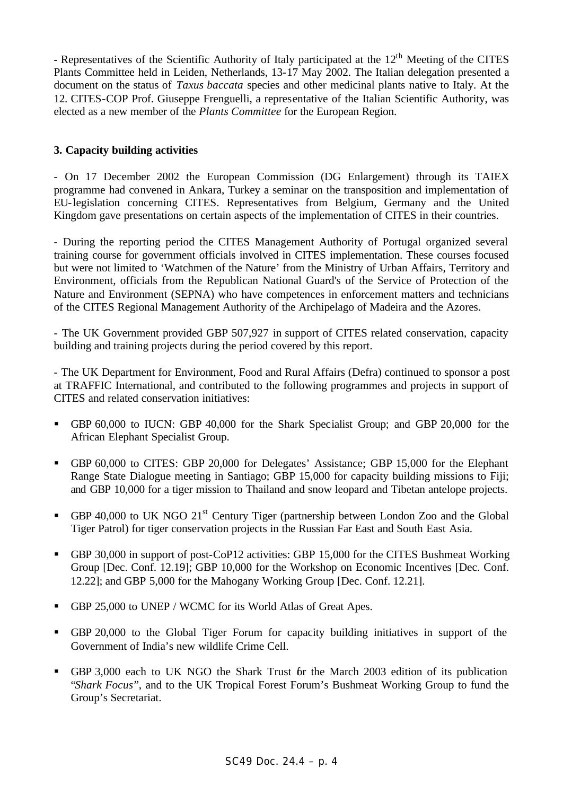**-** Representatives of the Scientific Authority of Italy participated at the 12<sup>th</sup> Meeting of the CITES Plants Committee held in Leiden, Netherlands, 13-17 May 2002. The Italian delegation presented a document on the status of *Taxus baccata* species and other medicinal plants native to Italy. At the 12. CITES-COP Prof. Giuseppe Frenguelli, a representative of the Italian Scientific Authority, was elected as a new member of the *Plants Committee* for the European Region.

#### **3. Capacity building activities**

- On 17 December 2002 the European Commission (DG Enlargement) through its TAIEX programme had convened in Ankara, Turkey a seminar on the transposition and implementation of EU-legislation concerning CITES. Representatives from Belgium, Germany and the United Kingdom gave presentations on certain aspects of the implementation of CITES in their countries.

- During the reporting period the CITES Management Authority of Portugal organized several training course for government officials involved in CITES implementation. These courses focused but were not limited to 'Watchmen of the Nature' from the Ministry of Urban Affairs, Territory and Environment, officials from the Republican National Guard's of the Service of Protection of the Nature and Environment (SEPNA) who have competences in enforcement matters and technicians of the CITES Regional Management Authority of the Archipelago of Madeira and the Azores.

- The UK Government provided GBP 507,927 in support of CITES related conservation, capacity building and training projects during the period covered by this report.

- The UK Department for Environment, Food and Rural Affairs (Defra) continued to sponsor a post at TRAFFIC International, and contributed to the following programmes and projects in support of CITES and related conservation initiatives:

- GBP 60,000 to IUCN: GBP 40,000 for the Shark Specialist Group; and GBP 20,000 for the African Elephant Specialist Group.
- GBP 60,000 to CITES: GBP 20,000 for Delegates' Assistance; GBP 15,000 for the Elephant Range State Dialogue meeting in Santiago; GBP 15,000 for capacity building missions to Fiji; and GBP 10,000 for a tiger mission to Thailand and snow leopard and Tibetan antelope projects.
- GBP 40,000 to UK NGO  $21^{st}$  Century Tiger (partnership between London Zoo and the Global Tiger Patrol) for tiger conservation projects in the Russian Far East and South East Asia.
- GBP 30,000 in support of post-CoP12 activities: GBP 15,000 for the CITES Bushmeat Working Group [Dec. Conf. 12.19]; GBP 10,000 for the Workshop on Economic Incentives [Dec. Conf. 12.22]; and GBP 5,000 for the Mahogany Working Group [Dec. Conf. 12.21].
- GBP 25,000 to UNEP / WCMC for its World Atlas of Great Apes.
- ß GBP 20,000 to the Global Tiger Forum for capacity building initiatives in support of the Government of India's new wildlife Crime Cell.
- GBP 3,000 each to UK NGO the Shark Trust for the March 2003 edition of its publication "*Shark Focus*", and to the UK Tropical Forest Forum's Bushmeat Working Group to fund the Group's Secretariat.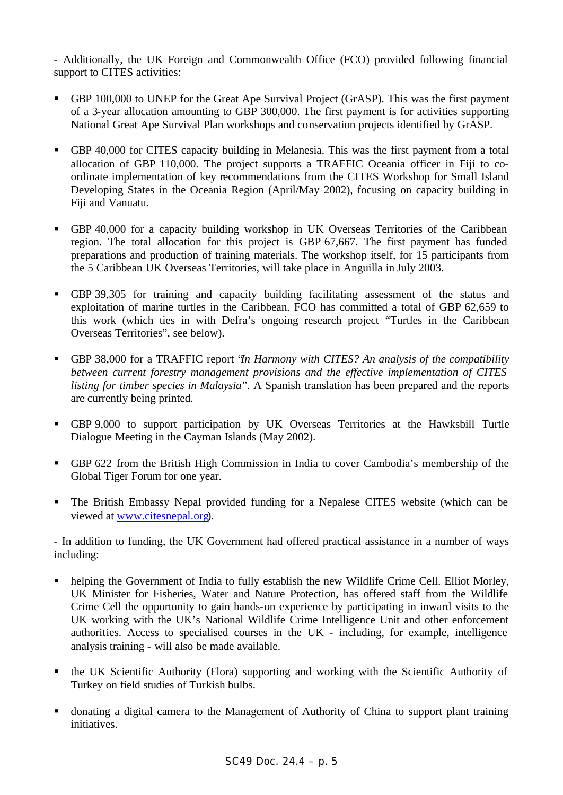- Additionally, the UK Foreign and Commonwealth Office (FCO) provided following financial support to CITES activities:

- GBP 100,000 to UNEP for the Great Ape Survival Project (GrASP). This was the first payment of a 3-year allocation amounting to GBP 300,000. The first payment is for activities supporting National Great Ape Survival Plan workshops and conservation projects identified by GrASP.
- GBP 40,000 for CITES capacity building in Melanesia. This was the first payment from a total allocation of GBP 110,000. The project supports a TRAFFIC Oceania officer in Fiji to coordinate implementation of key recommendations from the CITES Workshop for Small Island Developing States in the Oceania Region (April/May 2002), focusing on capacity building in Fiji and Vanuatu.
- GBP 40,000 for a capacity building workshop in UK Overseas Territories of the Caribbean region. The total allocation for this project is GBP 67,667. The first payment has funded preparations and production of training materials. The workshop itself, for 15 participants from the 5 Caribbean UK Overseas Territories, will take place in Anguilla in July 2003.
- ß GBP 39,305 for training and capacity building facilitating assessment of the status and exploitation of marine turtles in the Caribbean. FCO has committed a total of GBP 62,659 to this work (which ties in with Defra's ongoing research project "Turtles in the Caribbean Overseas Territories", see below).
- GBP 38,000 for a TRAFFIC report *'In Harmony with CITES? An analysis of the compatibility between current forestry management provisions and the effective implementation of CITES listing for timber species in Malaysia*". A Spanish translation has been prepared and the reports are currently being printed.
- GBP 9,000 to support participation by UK Overseas Territories at the Hawksbill Turtle Dialogue Meeting in the Cayman Islands (May 2002).
- GBP 622 from the British High Commission in India to cover Cambodia's membership of the Global Tiger Forum for one year.
- The British Embassy Nepal provided funding for a Nepalese CITES website (which can be viewed at www.citesnepal.org).

- In addition to funding, the UK Government had offered practical assistance in a number of ways including:

- helping the Government of India to fully establish the new Wildlife Crime Cell. Elliot Morley, UK Minister for Fisheries, Water and Nature Protection, has offered staff from the Wildlife Crime Cell the opportunity to gain hands-on experience by participating in inward visits to the UK working with the UK's National Wildlife Crime Intelligence Unit and other enforcement authorities. Access to specialised courses in the UK - including, for example, intelligence analysis training - will also be made available.
- **•** the UK Scientific Authority (Flora) supporting and working with the Scientific Authority of Turkey on field studies of Turkish bulbs.
- donating a digital camera to the Management of Authority of China to support plant training initiatives.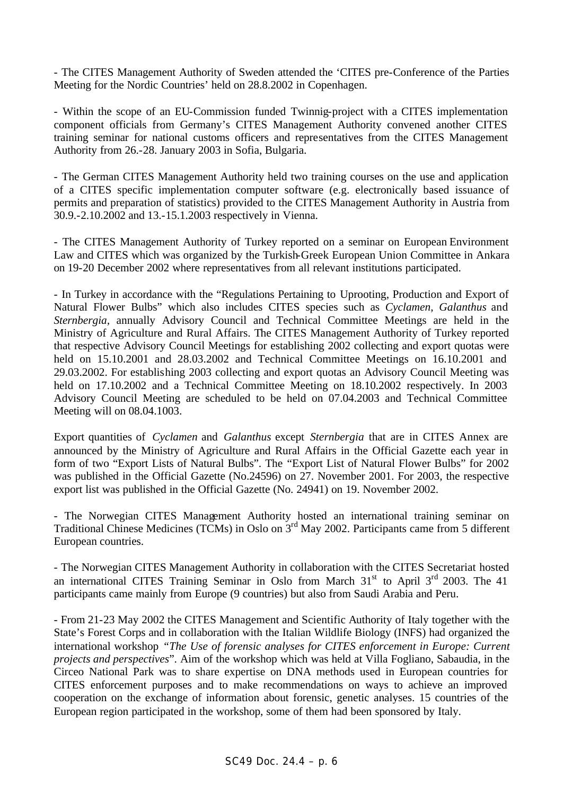- The CITES Management Authority of Sweden attended the 'CITES pre-Conference of the Parties Meeting for the Nordic Countries' held on 28.8.2002 in Copenhagen.

- Within the scope of an EU-Commission funded Twinnig-project with a CITES implementation component officials from Germany's CITES Management Authority convened another CITES training seminar for national customs officers and representatives from the CITES Management Authority from 26.-28. January 2003 in Sofia, Bulgaria.

- The German CITES Management Authority held two training courses on the use and application of a CITES specific implementation computer software (e.g. electronically based issuance of permits and preparation of statistics) provided to the CITES Management Authority in Austria from 30.9.-2.10.2002 and 13.-15.1.2003 respectively in Vienna.

- The CITES Management Authority of Turkey reported on a seminar on European Environment Law and CITES which was organized by the Turkish-Greek European Union Committee in Ankara on 19-20 December 2002 where representatives from all relevant institutions participated.

- In Turkey in accordance with the "Regulations Pertaining to Uprooting, Production and Export of Natural Flower Bulbs" which also includes CITES species such as *Cyclamen*, *Galanthus* and *Sternbergia,* annually Advisory Council and Technical Committee Meetings are held in the Ministry of Agriculture and Rural Affairs. The CITES Management Authority of Turkey reported that respective Advisory Council Meetings for establishing 2002 collecting and export quotas were held on 15.10.2001 and 28.03.2002 and Technical Committee Meetings on 16.10.2001 and 29.03.2002. For establishing 2003 collecting and export quotas an Advisory Council Meeting was held on 17.10.2002 and a Technical Committee Meeting on 18.10.2002 respectively. In 2003 Advisory Council Meeting are scheduled to be held on 07.04.2003 and Technical Committee Meeting will on 08.04.1003.

Export quantities of *Cyclamen* and *Galanthus* except *Sternbergia* that are in CITES Annex are announced by the Ministry of Agriculture and Rural Affairs in the Official Gazette each year in form of two "Export Lists of Natural Bulbs". The "Export List of Natural Flower Bulbs" for 2002 was published in the Official Gazette (No.24596) on 27. November 2001. For 2003, the respective export list was published in the Official Gazette (No. 24941) on 19. November 2002.

- The Norwegian CITES Management Authority hosted an international training seminar on Traditional Chinese Medicines (TCMs) in Oslo on 3rd May 2002. Participants came from 5 different European countries.

- The Norwegian CITES Management Authority in collaboration with the CITES Secretariat hosted an international CITES Training Seminar in Oslo from March  $31<sup>st</sup>$  to April  $3<sup>rd</sup>$  2003. The 41 participants came mainly from Europe (9 countries) but also from Saudi Arabia and Peru.

- From 21-23 May 2002 the CITES Management and Scientific Authority of Italy together with the State's Forest Corps and in collaboration with the Italian Wildlife Biology (INFS) had organized the international workshop *"The Use of forensic analyses for CITES enforcement in Europe: Current projects and perspectives*". Aim of the workshop which was held at Villa Fogliano, Sabaudia, in the Circeo National Park was to share expertise on DNA methods used in European countries for CITES enforcement purposes and to make recommendations on ways to achieve an improved cooperation on the exchange of information about forensic, genetic analyses. 15 countries of the European region participated in the workshop, some of them had been sponsored by Italy.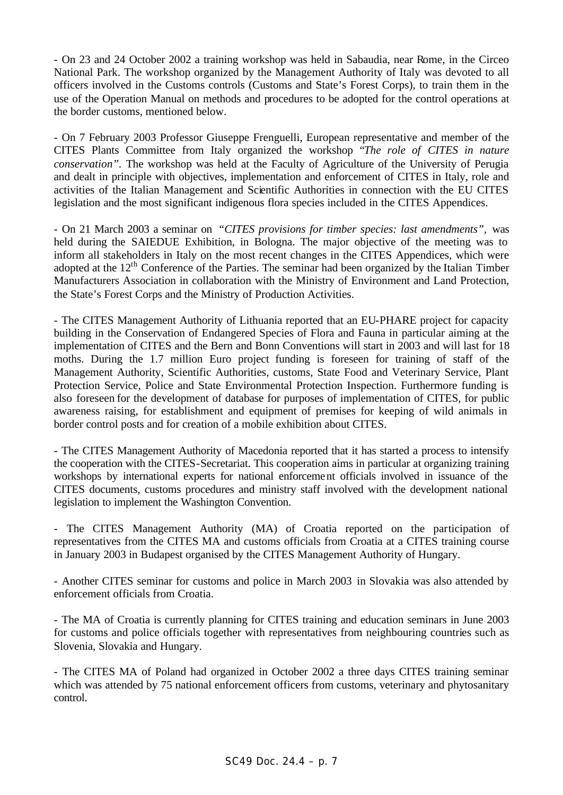- On 23 and 24 October 2002 a training workshop was held in Sabaudia, near Rome, in the Circeo National Park. The workshop organized by the Management Authority of Italy was devoted to all officers involved in the Customs controls (Customs and State's Forest Corps), to train them in the use of the Operation Manual on methods and procedures to be adopted for the control operations at the border customs, mentioned below.

- On 7 February 2003 Professor Giuseppe Frenguelli, European representative and member of the CITES Plants Committee from Italy organized the workshop "*The role of CITES in nature conservation".* The workshop was held at the Faculty of Agriculture of the University of Perugia and dealt in principle with objectives, implementation and enforcement of CITES in Italy, role and activities of the Italian Management and Scientific Authorities in connection with the EU CITES legislation and the most significant indigenous flora species included in the CITES Appendices.

- On 21 March 2003 a seminar on *"CITES provisions for timber species: last amendments",* was held during the SAIEDUE Exhibition, in Bologna. The major objective of the meeting was to inform all stakeholders in Italy on the most recent changes in the CITES Appendices, which were adopted at the 12<sup>th</sup> Conference of the Parties. The seminar had been organized by the Italian Timber Manufacturers Association in collaboration with the Ministry of Environment and Land Protection, the State's Forest Corps and the Ministry of Production Activities.

- The CITES Management Authority of Lithuania reported that an EU-PHARE project for capacity building in the Conservation of Endangered Species of Flora and Fauna in particular aiming at the implementation of CITES and the Bern and Bonn Conventions will start in 2003 and will last for 18 moths. During the 1.7 million Euro project funding is foreseen for training of staff of the Management Authority, Scientific Authorities, customs, State Food and Veterinary Service, Plant Protection Service, Police and State Environmental Protection Inspection. Furthermore funding is also foreseen for the development of database for purposes of implementation of CITES, for public awareness raising, for establishment and equipment of premises for keeping of wild animals in border control posts and for creation of a mobile exhibition about CITES.

- The CITES Management Authority of Macedonia reported that it has started a process to intensify the cooperation with the CITES-Secretariat. This cooperation aims in particular at organizing training workshops by international experts for national enforcement officials involved in issuance of the CITES documents, customs procedures and ministry staff involved with the development national legislation to implement the Washington Convention.

- The CITES Management Authority (MA) of Croatia reported on the participation of representatives from the CITES MA and customs officials from Croatia at a CITES training course in January 2003 in Budapest organised by the CITES Management Authority of Hungary.

- Another CITES seminar for customs and police in March 2003 in Slovakia was also attended by enforcement officials from Croatia.

- The MA of Croatia is currently planning for CITES training and education seminars in June 2003 for customs and police officials together with representatives from neighbouring countries such as Slovenia, Slovakia and Hungary.

- The CITES MA of Poland had organized in October 2002 a three days CITES training seminar which was attended by 75 national enforcement officers from customs, veterinary and phytosanitary control.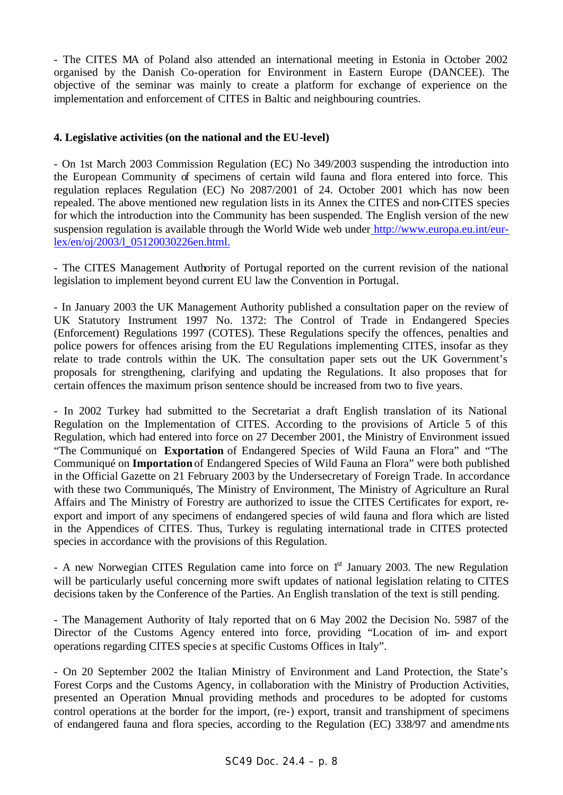- The CITES MA of Poland also attended an international meeting in Estonia in October 2002 organised by the Danish Co-operation for Environment in Eastern Europe (DANCEE). The objective of the seminar was mainly to create a platform for exchange of experience on the implementation and enforcement of CITES in Baltic and neighbouring countries.

### **4. Legislative activities (on the national and the EU-level)**

- On 1st March 2003 Commission Regulation (EC) No 349/2003 suspending the introduction into the European Community of specimens of certain wild fauna and flora entered into force. This regulation replaces Regulation (EC) No 2087/2001 of 24. October 2001 which has now been repealed. The above mentioned new regulation lists in its Annex the CITES and non-CITES species for which the introduction into the Community has been suspended. The English version of the new suspension regulation is available through the World Wide web under http://www.europa.eu.int/eurlex/en/oj/2003/l\_05120030226en.html.

- The CITES Management Authority of Portugal reported on the current revision of the national legislation to implement beyond current EU law the Convention in Portugal.

- In January 2003 the UK Management Authority published a consultation paper on the review of UK Statutory Instrument 1997 No. 1372: The Control of Trade in Endangered Species (Enforcement) Regulations 1997 (COTES). These Regulations specify the offences, penalties and police powers for offences arising from the EU Regulations implementing CITES, insofar as they relate to trade controls within the UK. The consultation paper sets out the UK Government's proposals for strengthening, clarifying and updating the Regulations. It also proposes that for certain offences the maximum prison sentence should be increased from two to five years.

- In 2002 Turkey had submitted to the Secretariat a draft English translation of its National Regulation on the Implementation of CITES. According to the provisions of Article 5 of this Regulation, which had entered into force on 27 December 2001, the Ministry of Environment issued "The Communiqué on **Exportation** of Endangered Species of Wild Fauna an Flora" and "The Communiqué on **Importation** of Endangered Species of Wild Fauna an Flora" were both published in the Official Gazette on 21 February 2003 by the Undersecretary of Foreign Trade. In accordance with these two Communiqués, The Ministry of Environment, The Ministry of Agriculture an Rural Affairs and The Ministry of Forestry are authorized to issue the CITES Certificates for export, reexport and import of any specimens of endangered species of wild fauna and flora which are listed in the Appendices of CITES. Thus, Turkey is regulating international trade in CITES protected species in accordance with the provisions of this Regulation.

- A new Norwegian CITES Regulation came into force on 1<sup>st</sup> January 2003. The new Regulation will be particularly useful concerning more swift updates of national legislation relating to CITES decisions taken by the Conference of the Parties. An English translation of the text is still pending.

- The Management Authority of Italy reported that on 6 May 2002 the Decision No. 5987 of the Director of the Customs Agency entered into force, providing "Location of im- and export operations regarding CITES specie s at specific Customs Offices in Italy".

- On 20 September 2002 the Italian Ministry of Environment and Land Protection, the State's Forest Corps and the Customs Agency, in collaboration with the Ministry of Production Activities, presented an Operation Manual providing methods and procedures to be adopted for customs control operations at the border for the import, (re-) export, transit and transhipment of specimens of endangered fauna and flora species, according to the Regulation (EC) 338/97 and amendments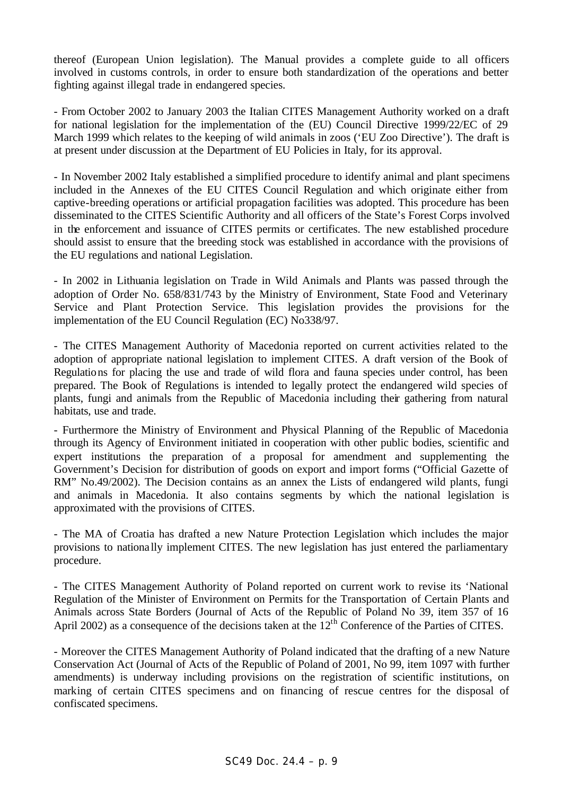thereof (European Union legislation). The Manual provides a complete guide to all officers involved in customs controls, in order to ensure both standardization of the operations and better fighting against illegal trade in endangered species.

- From October 2002 to January 2003 the Italian CITES Management Authority worked on a draft for national legislation for the implementation of the (EU) Council Directive 1999/22/EC of 29 March 1999 which relates to the keeping of wild animals in zoos ('EU Zoo Directive'). The draft is at present under discussion at the Department of EU Policies in Italy, for its approval.

- In November 2002 Italy established a simplified procedure to identify animal and plant specimens included in the Annexes of the EU CITES Council Regulation and which originate either from captive-breeding operations or artificial propagation facilities was adopted. This procedure has been disseminated to the CITES Scientific Authority and all officers of the State's Forest Corps involved in the enforcement and issuance of CITES permits or certificates. The new established procedure should assist to ensure that the breeding stock was established in accordance with the provisions of the EU regulations and national Legislation.

- In 2002 in Lithuania legislation on Trade in Wild Animals and Plants was passed through the adoption of Order No. 658/831/743 by the Ministry of Environment, State Food and Veterinary Service and Plant Protection Service. This legislation provides the provisions for the implementation of the EU Council Regulation (EC) No338/97.

- The CITES Management Authority of Macedonia reported on current activities related to the adoption of appropriate national legislation to implement CITES. A draft version of the Book of Regulations for placing the use and trade of wild flora and fauna species under control, has been prepared. The Book of Regulations is intended to legally protect the endangered wild species of plants, fungi and animals from the Republic of Macedonia including their gathering from natural habitats, use and trade.

- Furthermore the Ministry of Environment and Physical Planning of the Republic of Macedonia through its Agency of Environment initiated in cooperation with other public bodies, scientific and expert institutions the preparation of a proposal for amendment and supplementing the Government's Decision for distribution of goods on export and import forms ("Official Gazette of RM" No.49/2002). The Decision contains as an annex the Lists of endangered wild plants, fungi and animals in Macedonia. It also contains segments by which the national legislation is approximated with the provisions of CITES.

- The MA of Croatia has drafted a new Nature Protection Legislation which includes the major provisions to nationa lly implement CITES. The new legislation has just entered the parliamentary procedure.

- The CITES Management Authority of Poland reported on current work to revise its 'National Regulation of the Minister of Environment on Permits for the Transportation of Certain Plants and Animals across State Borders (Journal of Acts of the Republic of Poland No 39, item 357 of 16 April 2002) as a consequence of the decisions taken at the 12<sup>th</sup> Conference of the Parties of CITES.

- Moreover the CITES Management Authority of Poland indicated that the drafting of a new Nature Conservation Act (Journal of Acts of the Republic of Poland of 2001, No 99, item 1097 with further amendments) is underway including provisions on the registration of scientific institutions, on marking of certain CITES specimens and on financing of rescue centres for the disposal of confiscated specimens.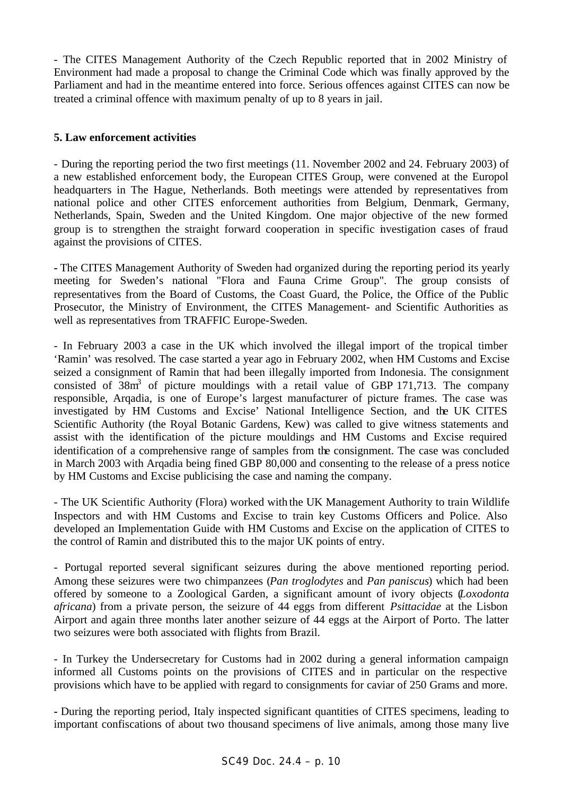- The CITES Management Authority of the Czech Republic reported that in 2002 Ministry of Environment had made a proposal to change the Criminal Code which was finally approved by the Parliament and had in the meantime entered into force. Serious offences against CITES can now be treated a criminal offence with maximum penalty of up to 8 years in jail.

### **5. Law enforcement activities**

- During the reporting period the two first meetings (11. November 2002 and 24. February 2003) of a new established enforcement body, the European CITES Group, were convened at the Europol headquarters in The Hague, Netherlands. Both meetings were attended by representatives from national police and other CITES enforcement authorities from Belgium, Denmark, Germany, Netherlands, Spain, Sweden and the United Kingdom. One major objective of the new formed group is to strengthen the straight forward cooperation in specific investigation cases of fraud against the provisions of CITES.

**-** The CITES Management Authority of Sweden had organized during the reporting period its yearly meeting for Sweden's national "Flora and Fauna Crime Group". The group consists of representatives from the Board of Customs, the Coast Guard, the Police, the Office of the Public Prosecutor, the Ministry of Environment, the CITES Management- and Scientific Authorities as well as representatives from TRAFFIC Europe-Sweden.

- In February 2003 a case in the UK which involved the illegal import of the tropical timber 'Ramin' was resolved. The case started a year ago in February 2002, when HM Customs and Excise seized a consignment of Ramin that had been illegally imported from Indonesia. The consignment consisted of  $38m^3$  of picture mouldings with a retail value of GBP 171,713. The company responsible, Arqadia, is one of Europe's largest manufacturer of picture frames. The case was investigated by HM Customs and Excise' National Intelligence Section, and the UK CITES Scientific Authority (the Royal Botanic Gardens, Kew) was called to give witness statements and assist with the identification of the picture mouldings and HM Customs and Excise required identification of a comprehensive range of samples from the consignment. The case was concluded in March 2003 with Arqadia being fined GBP 80,000 and consenting to the release of a press notice by HM Customs and Excise publicising the case and naming the company.

- The UK Scientific Authority (Flora) worked with the UK Management Authority to train Wildlife Inspectors and with HM Customs and Excise to train key Customs Officers and Police. Also developed an Implementation Guide with HM Customs and Excise on the application of CITES to the control of Ramin and distributed this to the major UK points of entry.

- Portugal reported several significant seizures during the above mentioned reporting period. Among these seizures were two chimpanzees (*Pan troglodytes* and *Pan paniscus*) which had been offered by someone to a Zoological Garden, a significant amount of ivory objects (*Loxodonta africana*) from a private person, the seizure of 44 eggs from different *Psittacidae* at the Lisbon Airport and again three months later another seizure of 44 eggs at the Airport of Porto. The latter two seizures were both associated with flights from Brazil.

- In Turkey the Undersecretary for Customs had in 2002 during a general information campaign informed all Customs points on the provisions of CITES and in particular on the respective provisions which have to be applied with regard to consignments for caviar of 250 Grams and more.

**-** During the reporting period, Italy inspected significant quantities of CITES specimens, leading to important confiscations of about two thousand specimens of live animals, among those many live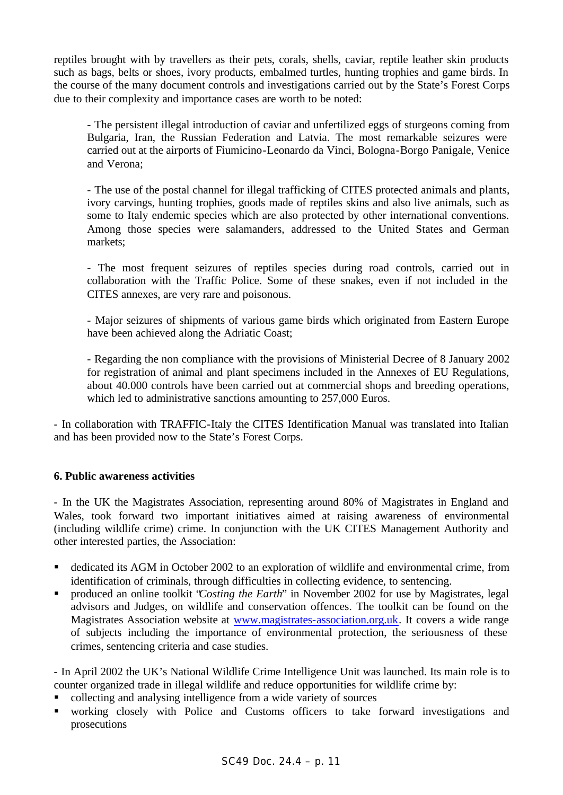reptiles brought with by travellers as their pets, corals, shells, caviar, reptile leather skin products such as bags, belts or shoes, ivory products, embalmed turtles, hunting trophies and game birds. In the course of the many document controls and investigations carried out by the State's Forest Corps due to their complexity and importance cases are worth to be noted:

- The persistent illegal introduction of caviar and unfertilized eggs of sturgeons coming from Bulgaria, Iran, the Russian Federation and Latvia. The most remarkable seizures were carried out at the airports of Fiumicino-Leonardo da Vinci, Bologna-Borgo Panigale, Venice and Verona;

- The use of the postal channel for illegal trafficking of CITES protected animals and plants, ivory carvings, hunting trophies, goods made of reptiles skins and also live animals, such as some to Italy endemic species which are also protected by other international conventions. Among those species were salamanders, addressed to the United States and German markets;

- The most frequent seizures of reptiles species during road controls, carried out in collaboration with the Traffic Police. Some of these snakes, even if not included in the CITES annexes, are very rare and poisonous.

- Major seizures of shipments of various game birds which originated from Eastern Europe have been achieved along the Adriatic Coast;

- Regarding the non compliance with the provisions of Ministerial Decree of 8 January 2002 for registration of animal and plant specimens included in the Annexes of EU Regulations, about 40.000 controls have been carried out at commercial shops and breeding operations, which led to administrative sanctions amounting to 257,000 Euros.

- In collaboration with TRAFFIC-Italy the CITES Identification Manual was translated into Italian and has been provided now to the State's Forest Corps.

### **6. Public awareness activities**

- In the UK the Magistrates Association, representing around 80% of Magistrates in England and Wales, took forward two important initiatives aimed at raising awareness of environmental (including wildlife crime) crime. In conjunction with the UK CITES Management Authority and other interested parties, the Association:

- ß dedicated its AGM in October 2002 to an exploration of wildlife and environmental crime, from identification of criminals, through difficulties in collecting evidence, to sentencing.
- ß produced an online toolkit "*Costing the Earth*" in November 2002 for use by Magistrates, legal advisors and Judges, on wildlife and conservation offences. The toolkit can be found on the Magistrates Association website at www.magistrates-association.org.uk. It covers a wide range of subjects including the importance of environmental protection, the seriousness of these crimes, sentencing criteria and case studies.

- In April 2002 the UK's National Wildlife Crime Intelligence Unit was launched. Its main role is to counter organized trade in illegal wildlife and reduce opportunities for wildlife crime by:

- collecting and analysing intelligence from a wide variety of sources
- ß working closely with Police and Customs officers to take forward investigations and prosecutions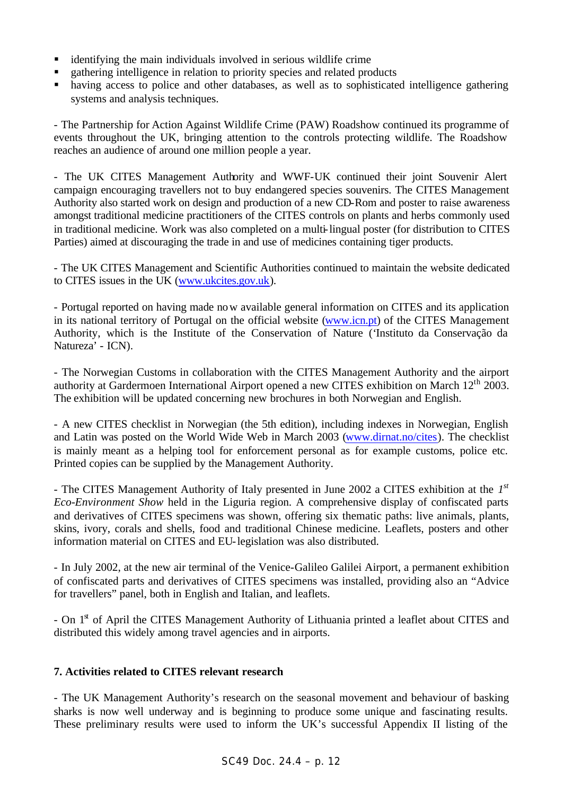- $\blacksquare$  identifying the main individuals involved in serious wildlife crime
- **Example 1** gathering intelligence in relation to priority species and related products
- having access to police and other databases, as well as to sophisticated intelligence gathering systems and analysis techniques.

- The Partnership for Action Against Wildlife Crime (PAW) Roadshow continued its programme of events throughout the UK, bringing attention to the controls protecting wildlife. The Roadshow reaches an audience of around one million people a year.

- The UK CITES Management Authority and WWF-UK continued their joint Souvenir Alert campaign encouraging travellers not to buy endangered species souvenirs. The CITES Management Authority also started work on design and production of a new CD-Rom and poster to raise awareness amongst traditional medicine practitioners of the CITES controls on plants and herbs commonly used in traditional medicine. Work was also completed on a multi-lingual poster (for distribution to CITES Parties) aimed at discouraging the trade in and use of medicines containing tiger products.

- The UK CITES Management and Scientific Authorities continued to maintain the website dedicated to CITES issues in the UK (www.ukcites.gov.uk).

- Portugal reported on having made now available general information on CITES and its application in its national territory of Portugal on the official website (www.icn.pt) of the CITES Management Authority, which is the Institute of the Conservation of Nature ('Instituto da Conservação da Natureza' - ICN).

- The Norwegian Customs in collaboration with the CITES Management Authority and the airport authority at Gardermoen International Airport opened a new CITES exhibition on March 12<sup>th</sup> 2003. The exhibition will be updated concerning new brochures in both Norwegian and English.

- A new CITES checklist in Norwegian (the 5th edition), including indexes in Norwegian, English and Latin was posted on the World Wide Web in March 2003 (www.dirnat.no/cites). The checklist is mainly meant as a helping tool for enforcement personal as for example customs, police etc. Printed copies can be supplied by the Management Authority.

- The CITES Management Authority of Italy presented in June 2002 a CITES exhibition at the *1 st Eco-Environment Show* held in the Liguria region. A comprehensive display of confiscated parts and derivatives of CITES specimens was shown, offering six thematic paths: live animals, plants, skins, ivory, corals and shells, food and traditional Chinese medicine. Leaflets, posters and other information material on CITES and EU-legislation was also distributed.

- In July 2002, at the new air terminal of the Venice-Galileo Galilei Airport, a permanent exhibition of confiscated parts and derivatives of CITES specimens was installed, providing also an "Advice for travellers" panel, both in English and Italian, and leaflets.

- On 1<sup>st</sup> of April the CITES Management Authority of Lithuania printed a leaflet about CITES and distributed this widely among travel agencies and in airports.

#### **7. Activities related to CITES relevant research**

- The UK Management Authority's research on the seasonal movement and behaviour of basking sharks is now well underway and is beginning to produce some unique and fascinating results. These preliminary results were used to inform the UK's successful Appendix II listing of the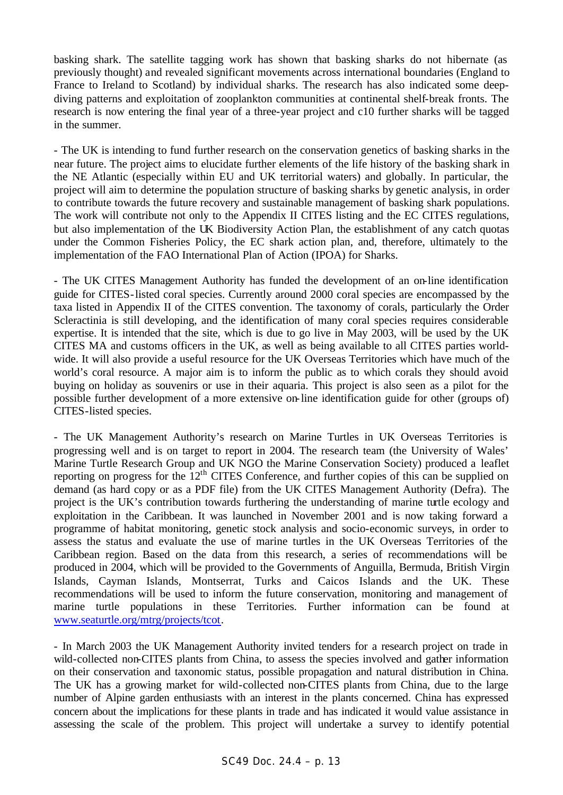basking shark. The satellite tagging work has shown that basking sharks do not hibernate (as previously thought) and revealed significant movements across international boundaries (England to France to Ireland to Scotland) by individual sharks. The research has also indicated some deepdiving patterns and exploitation of zooplankton communities at continental shelf-break fronts. The research is now entering the final year of a three-year project and c10 further sharks will be tagged in the summer.

- The UK is intending to fund further research on the conservation genetics of basking sharks in the near future. The project aims to elucidate further elements of the life history of the basking shark in the NE Atlantic (especially within EU and UK territorial waters) and globally. In particular, the project will aim to determine the population structure of basking sharks by genetic analysis, in order to contribute towards the future recovery and sustainable management of basking shark populations. The work will contribute not only to the Appendix II CITES listing and the EC CITES regulations, but also implementation of the UK Biodiversity Action Plan, the establishment of any catch quotas under the Common Fisheries Policy, the EC shark action plan, and, therefore, ultimately to the implementation of the FAO International Plan of Action (IPOA) for Sharks.

- The UK CITES Management Authority has funded the development of an on-line identification guide for CITES-listed coral species. Currently around 2000 coral species are encompassed by the taxa listed in Appendix II of the CITES convention. The taxonomy of corals, particularly the Order Scleractinia is still developing, and the identification of many coral species requires considerable expertise. It is intended that the site, which is due to go live in May 2003, will be used by the UK CITES MA and customs officers in the UK, as well as being available to all CITES parties worldwide. It will also provide a useful resource for the UK Overseas Territories which have much of the world's coral resource. A major aim is to inform the public as to which corals they should avoid buying on holiday as souvenirs or use in their aquaria. This project is also seen as a pilot for the possible further development of a more extensive on-line identification guide for other (groups of) CITES-listed species.

- The UK Management Authority's research on Marine Turtles in UK Overseas Territories is progressing well and is on target to report in 2004. The research team (the University of Wales' Marine Turtle Research Group and UK NGO the Marine Conservation Society) produced a leaflet reporting on progress for the 12<sup>th</sup> CITES Conference, and further copies of this can be supplied on demand (as hard copy or as a PDF file) from the UK CITES Management Authority (Defra). The project is the UK's contribution towards furthering the understanding of marine turtle ecology and exploitation in the Caribbean. It was launched in November 2001 and is now taking forward a programme of habitat monitoring, genetic stock analysis and socio-economic surveys, in order to assess the status and evaluate the use of marine turtles in the UK Overseas Territories of the Caribbean region. Based on the data from this research, a series of recommendations will be produced in 2004, which will be provided to the Governments of Anguilla, Bermuda, British Virgin Islands, Cayman Islands, Montserrat, Turks and Caicos Islands and the UK. These recommendations will be used to inform the future conservation, monitoring and management of marine turtle populations in these Territories. Further information can be found at www.seaturtle.org/mtrg/projects/tcot.

- In March 2003 the UK Management Authority invited tenders for a research project on trade in wild-collected non-CITES plants from China, to assess the species involved and gather information on their conservation and taxonomic status, possible propagation and natural distribution in China. The UK has a growing market for wild-collected non-CITES plants from China, due to the large number of Alpine garden enthusiasts with an interest in the plants concerned. China has expressed concern about the implications for these plants in trade and has indicated it would value assistance in assessing the scale of the problem. This project will undertake a survey to identify potential